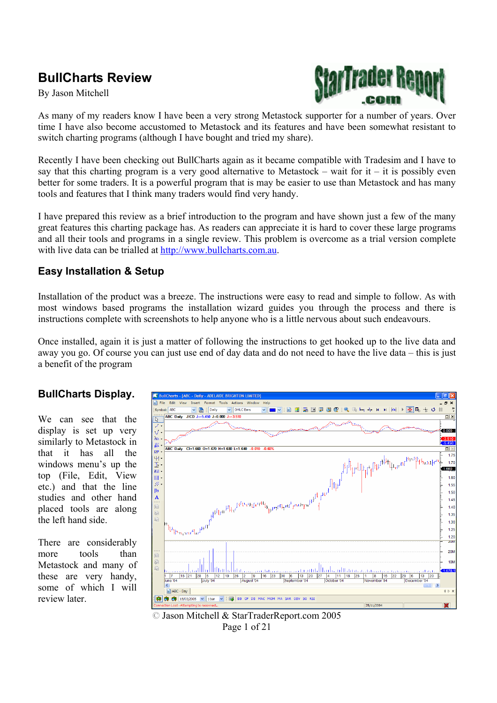# **BullCharts Review**

By Jason Mitchell



As many of my readers know I have been a very strong Metastock supporter for a number of years. Over time I have also become accustomed to Metastock and its features and have been somewhat resistant to switch charting programs (although I have bought and tried my share).

Recently I have been checking out BullCharts again as it became compatible with Tradesim and I have to say that this charting program is a very good alternative to Metastock – wait for it – it is possibly even better for some traders. It is a powerful program that is may be easier to use than Metastock and has many tools and features that I think many traders would find very handy.

I have prepared this review as a brief introduction to the program and have shown just a few of the many great features this charting package has. As readers can appreciate it is hard to cover these large programs and all their tools and programs in a single review. This problem is overcome as a trial version complete with live data can be trialled at http://www.bullcharts.com.au.

### **Easy Installation & Setup**

Installation of the product was a breeze. The instructions were easy to read and simple to follow. As with most windows based programs the installation wizard guides you through the process and there is instructions complete with screenshots to help anyone who is a little nervous about such endeavours.

Once installed, again it is just a matter of following the instructions to get hooked up to the live data and away you go. Of course you can just use end of day data and do not need to have the live data – this is just a benefit of the program

#### **BullCharts Display.**

We can see that the display is set up very similarly to Metastock in that it has all the windows menu's up the top (File, Edit, View etc.) and that the line studies and other hand placed tools are along the left hand side.

There are considerably more tools than Metastock and many of these are very handy, some of which I will review later.



© Jason Mitchell & StarTraderReport.com 2005 Page 1 of 21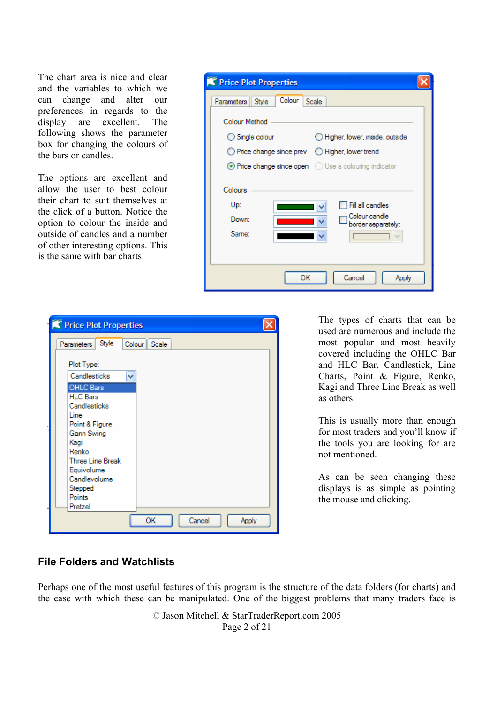The chart area is nice and clear and the variables to which we can change and alter our preferences in regards to the display are excellent. The following shows the parameter box for changing the colours of the bars or candles.

The options are excellent and allow the user to best colour their chart to suit themselves at the click of a button. Notice the option to colour the inside and outside of candles and a number of other interesting options. This is the same with bar charts.

| Price Plot Properties                                                                       |  |
|---------------------------------------------------------------------------------------------|--|
| Colour<br>Parameters Style<br>Scale                                                         |  |
| <b>Colour Method</b>                                                                        |  |
| $\bigcirc$ Single colour<br>Higher, lower, inside, outside                                  |  |
| $\bigcirc$ Price change since prev $\bigcirc$ Higher, lower trend                           |  |
| $\odot$ Price change since open $\odot$ Use a colouring indicator                           |  |
| Colours<br>Up:<br>Fill all candles<br>Colour candle<br>Down:<br>border separately:<br>Same: |  |
| Cancel<br>ОΚ<br>Apply                                                                       |  |

| Price Plot Properties                                                                                                                                                                                          |                       |
|----------------------------------------------------------------------------------------------------------------------------------------------------------------------------------------------------------------|-----------------------|
| Style<br><b>Parameters</b>                                                                                                                                                                                     | Colour   Scale        |
| Plot Type:<br>Candlesticks<br><b>OHLC Bars</b><br><b>HLC Bars</b><br>Candlesticks<br>Line<br>Point & Figure<br>Gann Swing<br>Kagi<br>Renko<br><b>Three Line Break</b><br>Equivolume<br>Candlevolume<br>Stepped | v                     |
| Points<br>Pretzel                                                                                                                                                                                              |                       |
|                                                                                                                                                                                                                | ОΚ<br>Cancel<br>Apply |

The types of charts that can be used are numerous and include the most popular and most heavily covered including the OHLC Bar and HLC Bar, Candlestick, Line Charts, Point & Figure, Renko, Kagi and Three Line Break as well as others.

This is usually more than enough for most traders and you'll know if the tools you are looking for are not mentioned.

As can be seen changing these displays is as simple as pointing the mouse and clicking.

# **File Folders and Watchlists**

Perhaps one of the most useful features of this program is the structure of the data folders (for charts) and the ease with which these can be manipulated. One of the biggest problems that many traders face is

> © Jason Mitchell & StarTraderReport.com 2005 Page 2 of 21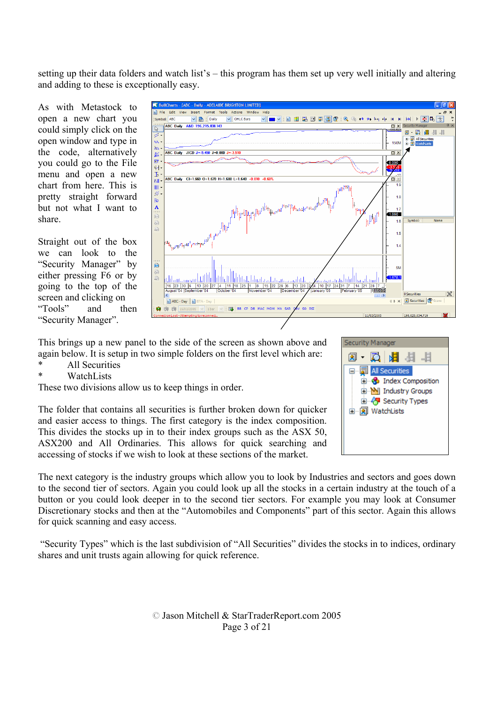setting up their data folders and watch list's – this program has them set up very well initially and altering and adding to these is exceptionally easy.

As with Metastock to open a new chart you could simply click on the open window and type in the code, alternatively you could go to the File menu and open a new chart from here. This is pretty straight forward but not what I want to share.

Straight out of the box we can look to the "Security Manager" by either pressing F6 or by going to the top of the screen and clicking on "Tools" and then "Security Manager".



This brings up a new panel to the side of the screen as shown above and again below. It is setup in two simple folders on the first level which are:

- \* All Securities
- \* WatchLists

These two divisions allow us to keep things in order.

The folder that contains all securities is further broken down for quicker and easier access to things. The first category is the index composition. This divides the stocks up in to their index groups such as the ASX 50, ASX200 and All Ordinaries. This allows for quick searching and accessing of stocks if we wish to look at these sections of the market.

The next category is the industry groups which allow you to look by Industries and sectors and goes down to the second tier of sectors. Again you could look up all the stocks in a certain industry at the touch of a button or you could look deeper in to the second tier sectors. For example you may look at Consumer Discretionary stocks and then at the "Automobiles and Components" part of this sector. Again this allows for quick scanning and easy access.

 "Security Types" which is the last subdivision of "All Securities" divides the stocks in to indices, ordinary shares and unit trusts again allowing for quick reference.

**Security Manager** 20 · 12 · 12 · 13 · 14  $\Box$   $\blacksquare$  All Securities **E** Solution **E-M** Industry Groups **E-49** Security Types 由 | WatchLists

© Jason Mitchell & StarTraderReport.com 2005 Page 3 of 21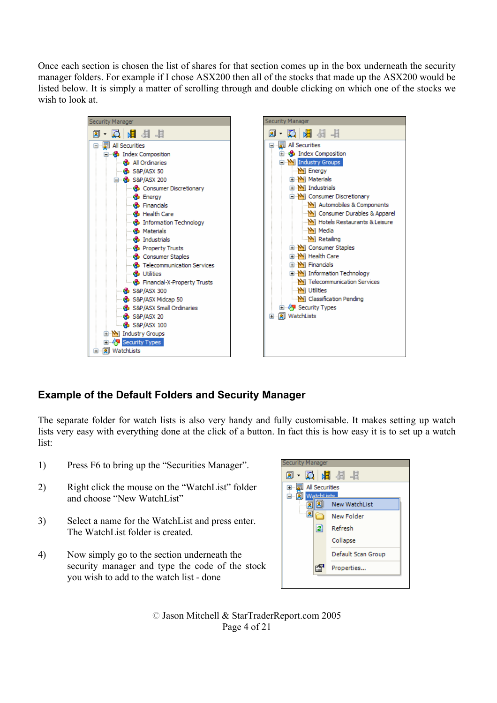Once each section is chosen the list of shares for that section comes up in the box underneath the security manager folders. For example if I chose ASX200 then all of the stocks that made up the ASX200 would be listed below. It is simply a matter of scrolling through and double clicking on which one of the stocks we wish to look at.



# **Example of the Default Folders and Security Manager**

The separate folder for watch lists is also very handy and fully customisable. It makes setting up watch lists very easy with everything done at the click of a button. In fact this is how easy it is to set up a watch list:

- 1) Press F6 to bring up the "Securities Manager".
- 2) Right click the mouse on the "WatchList" folder and choose "New WatchList"
- 3) Select a name for the WatchList and press enter. The WatchList folder is created.
- 4) Now simply go to the section underneath the security manager and type the code of the stock you wish to add to the watch list - done



© Jason Mitchell & StarTraderReport.com 2005 Page 4 of 21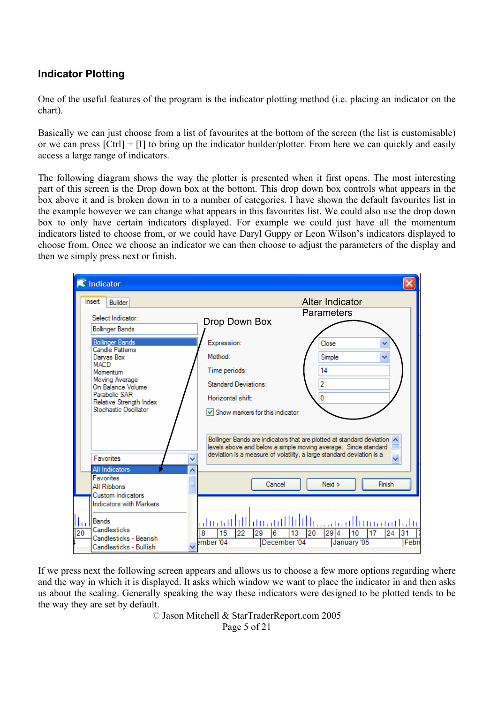# **Indicator Plotting**

One of the useful features of the program is the indicator plotting method (i.e. placing an indicator on the chart).

Basically we can just choose from a list of favourites at the bottom of the screen (the list is customisable) or we can press [Ctrl] + [I] to bring up the indicator builder/plotter. From here we can quickly and easily access a large range of indicators.

The following diagram shows the way the plotter is presented when it first opens. The most interesting part of this screen is the Drop down box at the bottom. This drop down box controls what appears in the box above it and is broken down in to a number of categories. I have shown the default favourites list in the example however we can change what appears in this favourites list. We could also use the drop down box to only have certain indicators displayed. For example we could just have all the momentum indicators listed to choose from, or we could have Daryl Guppy or Leon Wilson's indicators displayed to choose from. Once we choose an indicator we can then choose to adjust the parameters of the display and then we simply press next or finish.

| K Indicator                                                           |                                                                                                                                                                                                                    |          |
|-----------------------------------------------------------------------|--------------------------------------------------------------------------------------------------------------------------------------------------------------------------------------------------------------------|----------|
| Insert<br>Builder                                                     | <b>Alter Indicator</b>                                                                                                                                                                                             |          |
| Select Indicator:<br><b>Bollinger Bands</b>                           | <b>Parameters</b><br>Drop Down Box                                                                                                                                                                                 |          |
| <b>Bollinger Bands</b><br>Candle Pattems<br>Darvas Box<br><b>MACD</b> | Expression:<br>Close<br>Method:<br>Simple                                                                                                                                                                          | v        |
| Momentum<br>Moving Average<br>On Balance Volume<br>Parabolic SAR      | Time periods:<br>14<br>2<br>Standard Deviations:<br>0<br>Horizontal shift:                                                                                                                                         |          |
| Relative Strength Index<br>Stochastic Oscillator                      | $\vee$ Show markers for this indicator                                                                                                                                                                             |          |
| <b>Favorites</b>                                                      | Bollinger Bands are indicators that are plotted at standard deviation A<br>levels above and below a simple moving average. Since standard<br>deviation is a measure of volatility, a large standard deviation is a |          |
| All Indicators<br><b>Favorites</b><br>All Ribbons                     | Cancel<br>Next >                                                                                                                                                                                                   | Finish   |
| Custom Indicators<br><b>Indicators with Markers</b>                   |                                                                                                                                                                                                                    |          |
| <b>Bands</b><br>Шı<br><b>Candlesticks</b><br>20                       | 22<br>8<br>15<br>29<br>13<br>20<br>294<br>10<br>6<br>17                                                                                                                                                            | 24<br>31 |
| Candlesticks - Bearish<br>Candlesticks - Bullish                      | ember '04<br>December '04<br>January '05                                                                                                                                                                           | Febru    |

If we press next the following screen appears and allows us to choose a few more options regarding where and the way in which it is displayed. It asks which window we want to place the indicator in and then asks us about the scaling. Generally speaking the way these indicators were designed to be plotted tends to be the way they are set by default.

> © Jason Mitchell & StarTraderReport.com 2005 Page 5 of 21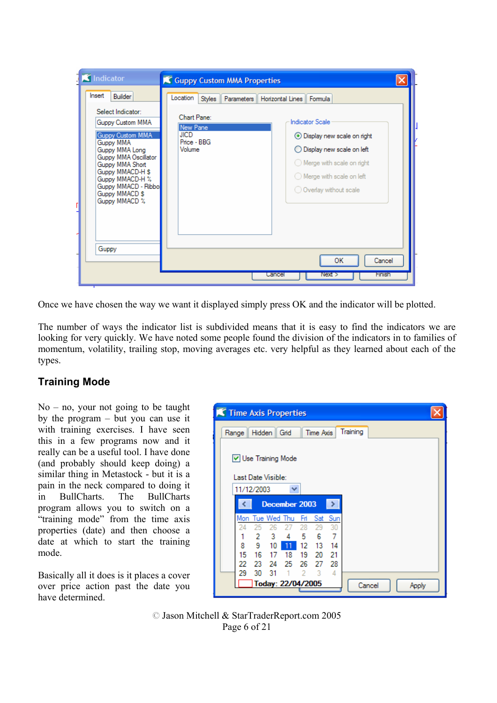| K Indicator<br>Insert<br>Builder                                                                                                                                                                                                     | Guppy Custom MMA Properties<br>Location<br>Parameters    Horizontal Lines    Formula<br><b>Styles</b>                                                                                                                                                     |  |
|--------------------------------------------------------------------------------------------------------------------------------------------------------------------------------------------------------------------------------------|-----------------------------------------------------------------------------------------------------------------------------------------------------------------------------------------------------------------------------------------------------------|--|
| Select Indicator:<br>Guppy Custom MMA<br>Guppy Custom MMA<br>Guppy MMA<br>Guppy MMA Long<br>Guppy MMA Oscillator<br>Guppy MMA Short<br>Guppy MMACD-H \$<br>Guppy MMACD-H %<br>Guppy MMACD - Ribbo<br>Guppy MMACD \$<br>Guppy MMACD % | Chart Pane:<br><b>Indicator Scale</b><br>New Pane<br><b>JICD</b><br>⊙ Display new scale on right<br>Price - BBG<br>Volume<br>◯ Display new scale on left<br>$\bigcirc$ Merge with scale on right<br>◯ Merge with scale on left<br>O Overlay without scale |  |
| Guppy                                                                                                                                                                                                                                | <b>OK</b><br>Cancel                                                                                                                                                                                                                                       |  |
| <b>Hnish</b><br>Cancel<br>Next >                                                                                                                                                                                                     |                                                                                                                                                                                                                                                           |  |

Once we have chosen the way we want it displayed simply press OK and the indicator will be plotted.

The number of ways the indicator list is subdivided means that it is easy to find the indicators we are looking for very quickly. We have noted some people found the division of the indicators in to families of momentum, volatility, trailing stop, moving averages etc. very helpful as they learned about each of the types.

# **Training Mode**

 $No - no$ , your not going to be taught by the program – but you can use it with training exercises. I have seen this in a few programs now and it really can be a useful tool. I have done (and probably should keep doing) a similar thing in Metastock - but it is a pain in the neck compared to doing it in BullCharts. The BullCharts program allows you to switch on a "training mode" from the time axis properties (date) and then choose a date at which to start the training mode.

Basically all it does is it places a cover over price action past the date you have determined.



© Jason Mitchell & StarTraderReport.com 2005 Page 6 of 21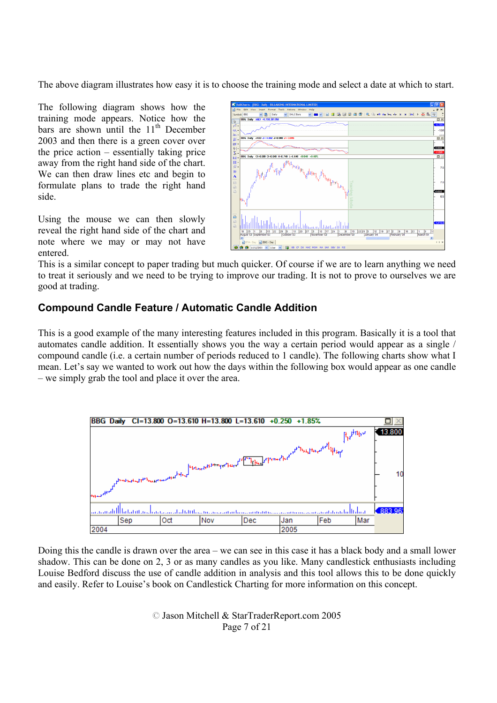The above diagram illustrates how easy it is to choose the training mode and select a date at which to start.

The following diagram shows how the training mode appears. Notice how the bars are shown until the  $11<sup>th</sup>$  December 2003 and then there is a green cover over the price action – essentially taking price away from the right hand side of the chart. We can then draw lines etc and begin to formulate plans to trade the right hand side.

Using the mouse we can then slowly reveal the right hand side of the chart and note where we may or may not have entered.



This is a similar concept to paper trading but much quicker. Of course if we are to learn anything we need to treat it seriously and we need to be trying to improve our trading. It is not to prove to ourselves we are good at trading.

# **Compound Candle Feature / Automatic Candle Addition**

This is a good example of the many interesting features included in this program. Basically it is a tool that automates candle addition. It essentially shows you the way a certain period would appear as a single / compound candle (i.e. a certain number of periods reduced to 1 candle). The following charts show what I mean. Let's say we wanted to work out how the days within the following box would appear as one candle – we simply grab the tool and place it over the area.



Doing this the candle is drawn over the area – we can see in this case it has a black body and a small lower shadow. This can be done on 2, 3 or as many candles as you like. Many candlestick enthusiasts including Louise Bedford discuss the use of candle addition in analysis and this tool allows this to be done quickly and easily. Refer to Louise's book on Candlestick Charting for more information on this concept.

> © Jason Mitchell & StarTraderReport.com 2005 Page 7 of 21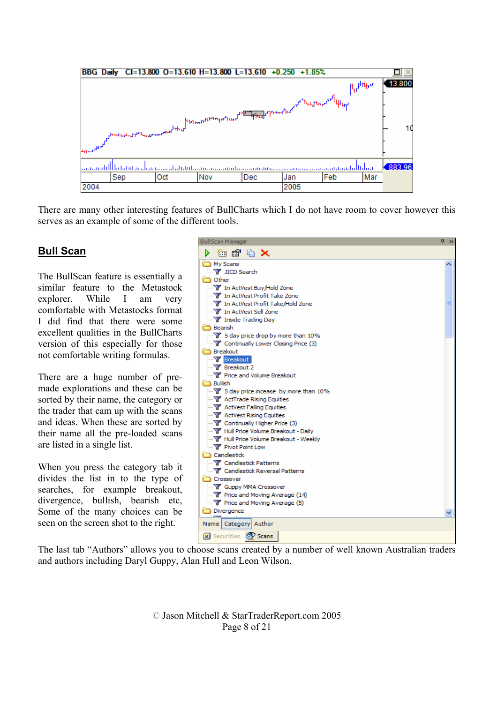

There are many other interesting features of BullCharts which I do not have room to cover however this serves as an example of some of the different tools.

### **Bull Scan**

The BullScan feature is essentially a similar feature to the Metastock explorer. While I am very comfortable with Metastocks format I did find that there were some excellent qualities in the BullCharts version of this especially for those not comfortable writing formulas.

There are a huge number of premade explorations and these can be sorted by their name, the category or the trader that cam up with the scans and ideas. When these are sorted by their name all the pre-loaded scans are listed in a single list.

When you press the category tab it divides the list in to the type of searches, for example breakout, divergence, bullish, bearish etc, Some of the many choices can be seen on the screen shot to the right.



The last tab "Authors" allows you to choose scans created by a number of well known Australian traders and authors including Daryl Guppy, Alan Hull and Leon Wilson.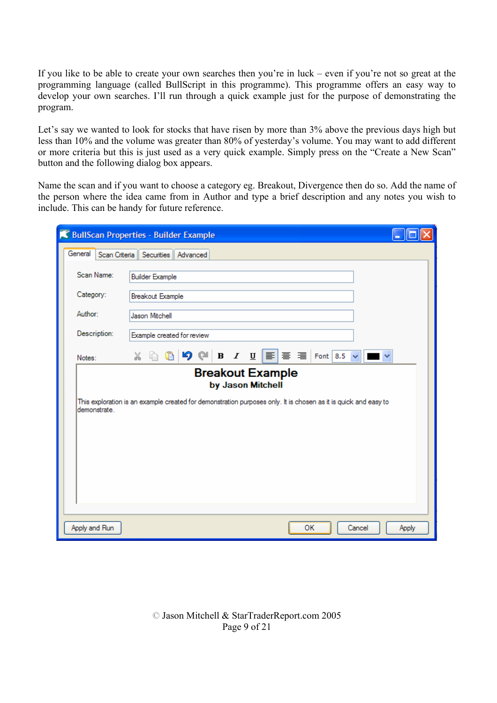If you like to be able to create your own searches then you're in luck – even if you're not so great at the programming language (called BullScript in this programme). This programme offers an easy way to develop your own searches. I'll run through a quick example just for the purpose of demonstrating the program.

Let's say we wanted to look for stocks that have risen by more than 3% above the previous days high but less than 10% and the volume was greater than 80% of yesterday's volume. You may want to add different or more criteria but this is just used as a very quick example. Simply press on the "Create a New Scan" button and the following dialog box appears.

Name the scan and if you want to choose a category eg. Breakout, Divergence then do so. Add the name of the person where the idea came from in Author and type a brief description and any notes you wish to include. This can be handy for future reference.

|               | SullScan Properties - Builder Example                                                                                                                    |  |  |  |
|---------------|----------------------------------------------------------------------------------------------------------------------------------------------------------|--|--|--|
| General       | Scan Criteria   Securities   Advanced                                                                                                                    |  |  |  |
| Scan Name:    | <b>Builder Example</b>                                                                                                                                   |  |  |  |
| Category:     | Breakout Example                                                                                                                                         |  |  |  |
| Author:       | Jason Mitchell                                                                                                                                           |  |  |  |
| Description:  | Example created for review                                                                                                                               |  |  |  |
| Notes:        | <b>B</b> $I$ $\mathbf{U}$ $\mathbf{E}$ $\mathbf{F}$ $\mathbf{F}$ $\mathbf{F}$ $\mathbf{F}$ $\mathbf{F}$ $\mathbf{F}$ $\mathbf{F}$<br>O<br>99<br>ふらい にっぽん |  |  |  |
|               | <b>Breakout Example</b><br>by Jason Mitchell                                                                                                             |  |  |  |
| demonstrate.  | This exploration is an example created for demonstration purposes only. It is chosen as it is quick and easy to                                          |  |  |  |
|               |                                                                                                                                                          |  |  |  |
|               |                                                                                                                                                          |  |  |  |
|               |                                                                                                                                                          |  |  |  |
|               |                                                                                                                                                          |  |  |  |
|               |                                                                                                                                                          |  |  |  |
| Apply and Run | OК<br>Cancel<br>Apply                                                                                                                                    |  |  |  |

© Jason Mitchell & StarTraderReport.com 2005 Page 9 of 21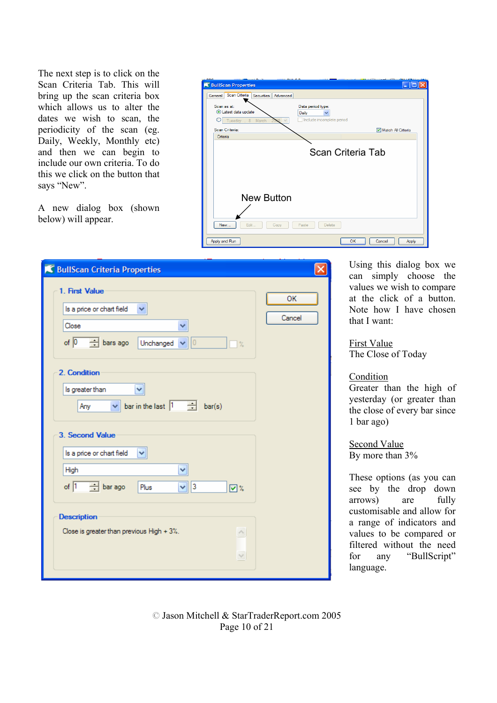The next step is to click on the Scan Criteria Tab. This will bring up the scan criteria box which allows us to alter the dates we wish to scan, the periodicity of the scan (eg. Daily, Weekly, Monthly etc) and then we can begin to include our own criteria. To do this we click on the button that says "New".

A new dialog box (shown below) will appear.

| <b>K</b> BullScan Properties                           | n<br>ш                                                  |
|--------------------------------------------------------|---------------------------------------------------------|
| Scan Criteria<br>Securities Advanced<br>General        |                                                         |
| Scan as at:<br>Latest data update<br>Tuesday , 8 March | Data period type:<br>Daily<br>Include incomplete period |
| Scan Criteria:                                         | Match All Criteria                                      |
| Criteria                                               |                                                         |
|                                                        | Scan Criteria Tab                                       |
| <b>New Button</b>                                      |                                                         |
| Edit<br>New<br>Copy                                    | Paste<br>Delete                                         |
| Apply and Run                                          | <b>OK</b><br>Cancel<br>Apply                            |

| <b>K</b> BullScan Criteria Properties                                                                                                            |              |
|--------------------------------------------------------------------------------------------------------------------------------------------------|--------------|
| 1. First Value<br>Is a price or chart field<br>Close<br>of $\boxed{0}$<br>$\pm$ bars ago<br>0<br>Unchanged<br>$\%$                               | ОK<br>Cancel |
| 2. Condition<br>×<br>Is greater than<br>$\vee$ bar in the last $\begin{array}{ccc} 1 & \frac{\cdots}{\cdots} & \text{bar(s)} \end{array}$<br>Any |              |
| 3. Second Value<br>Is a price or chart field<br>High<br>v<br>$\Box$ bar ago<br>of $\boxed{1}$<br>3<br>Plus<br>回る<br>Ÿ                            |              |
| <b>Description</b><br>Close is greater than previous High + 3%.<br>$\curvearrowright$<br>$\lor$                                                  |              |

Using this dialog box we can simply choose the values we wish to compare at the click of a button. Note how I have chosen that I want:

First Value The Close of Today

#### Condition

Greater than the high of yesterday (or greater than the close of every bar since 1 bar ago)

Second Value By more than 3%

These options (as you can see by the drop down arrows) are fully customisable and allow for a range of indicators and values to be compared or filtered without the need for any "BullScript" language.

© Jason Mitchell & StarTraderReport.com 2005 Page 10 of 21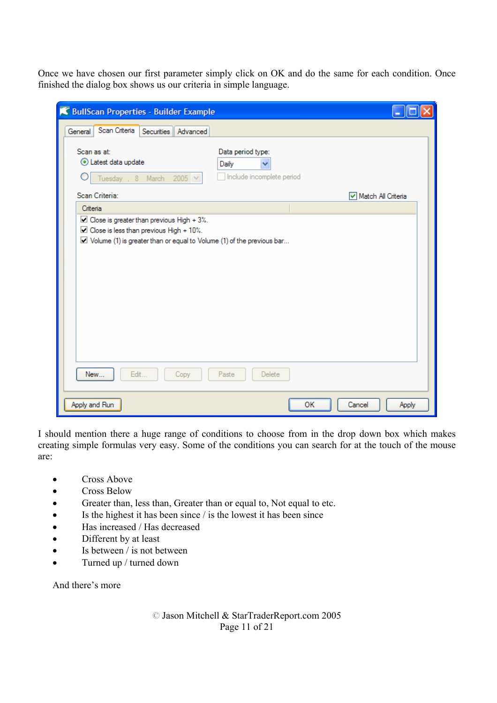Once we have chosen our first parameter simply click on OK and do the same for each condition. Once finished the dialog box shows us our criteria in simple language.

| BullScan Properties - Builder Example                                                                                                                                                          |                                                         |    |                    |
|------------------------------------------------------------------------------------------------------------------------------------------------------------------------------------------------|---------------------------------------------------------|----|--------------------|
| Scan Criteria Securities<br>General<br>Advanced                                                                                                                                                |                                                         |    |                    |
| Scan as at:<br>Latest data update<br>Tuesday , 8 March 2005 V                                                                                                                                  | Data period type:<br>Daily<br>Include incomplete period |    |                    |
| Scan Criteria:                                                                                                                                                                                 |                                                         |    | Match All Criteria |
| Criteria<br>$\Box$ Close is greater than previous High + 3%.<br>$\Box$ Close is less than previous High + 10%.<br>$\Box$ Volume (1) is greater than or equal to Volume (1) of the previous bar |                                                         |    |                    |
| Edit<br>New<br>Copy                                                                                                                                                                            | Paste<br>Delete                                         |    |                    |
| Apply and Run                                                                                                                                                                                  |                                                         | OK | Cancel<br>Apply    |

I should mention there a huge range of conditions to choose from in the drop down box which makes creating simple formulas very easy. Some of the conditions you can search for at the touch of the mouse are:

- Cross Above
- Cross Below
- Greater than, less than, Greater than or equal to, Not equal to etc.
- Is the highest it has been since / is the lowest it has been since
- Has increased / Has decreased
- Different by at least
- Is between / is not between
- Turned up / turned down

And there's more

© Jason Mitchell & StarTraderReport.com 2005 Page 11 of 21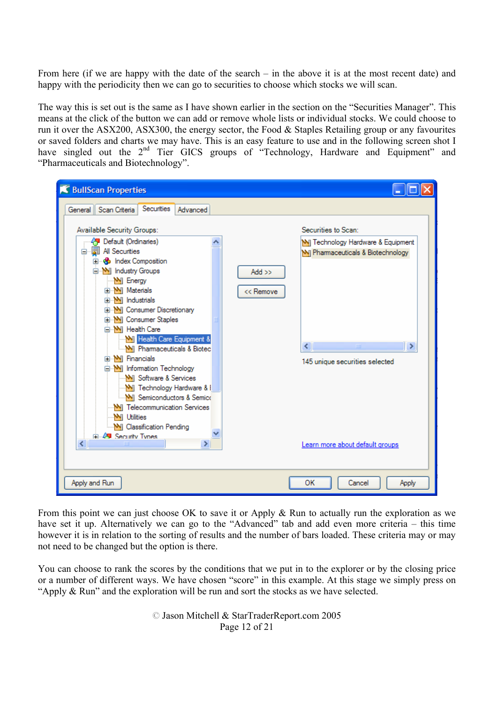From here (if we are happy with the date of the search – in the above it is at the most recent date) and happy with the periodicity then we can go to securities to choose which stocks we will scan.

The way this is set out is the same as I have shown earlier in the section on the "Securities Manager". This means at the click of the button we can add or remove whole lists or individual stocks. We could choose to run it over the ASX200, ASX300, the energy sector, the Food & Staples Retailing group or any favourites or saved folders and charts we may have. This is an easy feature to use and in the following screen shot I have singled out the 2<sup>nd</sup> Tier GICS groups of "Technology, Hardware and Equipment" and "Pharmaceuticals and Biotechnology".

| <b>K</b> BullScan Properties                                                                                                                                                                                                                                                                                                                                                                                                                                                                                                                                                                                                                               |                                                                                                                                                                                                                       |
|------------------------------------------------------------------------------------------------------------------------------------------------------------------------------------------------------------------------------------------------------------------------------------------------------------------------------------------------------------------------------------------------------------------------------------------------------------------------------------------------------------------------------------------------------------------------------------------------------------------------------------------------------------|-----------------------------------------------------------------------------------------------------------------------------------------------------------------------------------------------------------------------|
| Securities<br>General Scan Criteria<br>Advanced                                                                                                                                                                                                                                                                                                                                                                                                                                                                                                                                                                                                            |                                                                                                                                                                                                                       |
| Available Security Groups:<br><b>《予</b> Default (Ordinaries)<br><b>园 All Securities</b><br>e<br><b>E</b> composition<br>industry Groups<br>M Energy<br><b>E</b> M Materials<br><b>E</b> -M Industrials<br><b>E-M</b> Consumer Discretionary<br><b>E-M</b> Consumer Staples<br><b>E</b> M Health Care<br><b>N</b> Health Care Equipment &<br>MI Phamaceuticals & Biotec<br><b>E</b> -M Financials<br>M Information Technology<br>M Software & Services<br>M Technology Hardware & I<br><b>W</b> Semiconductors & Semico<br><b>MI</b> Telecommunication Services<br><b>M</b> Utilities<br>M Classification Pending<br>中华 Security Types<br><b>TITLE</b><br>≯ | Securities to Scan:<br>MI Technology Hardware & Equipment<br>M Phamaceuticals & Biotechnology<br>Add $\gg$<br><< Remove<br><b>TITL</b><br>≺<br>⋗<br>145 unique securities selected<br>Learn more about default groups |
| Apply and Run                                                                                                                                                                                                                                                                                                                                                                                                                                                                                                                                                                                                                                              | ОК<br>Cancel<br>Apply                                                                                                                                                                                                 |

From this point we can just choose OK to save it or Apply & Run to actually run the exploration as we have set it up. Alternatively we can go to the "Advanced" tab and add even more criteria – this time however it is in relation to the sorting of results and the number of bars loaded. These criteria may or may not need to be changed but the option is there.

You can choose to rank the scores by the conditions that we put in to the explorer or by the closing price or a number of different ways. We have chosen "score" in this example. At this stage we simply press on "Apply & Run" and the exploration will be run and sort the stocks as we have selected.

> © Jason Mitchell & StarTraderReport.com 2005 Page 12 of 21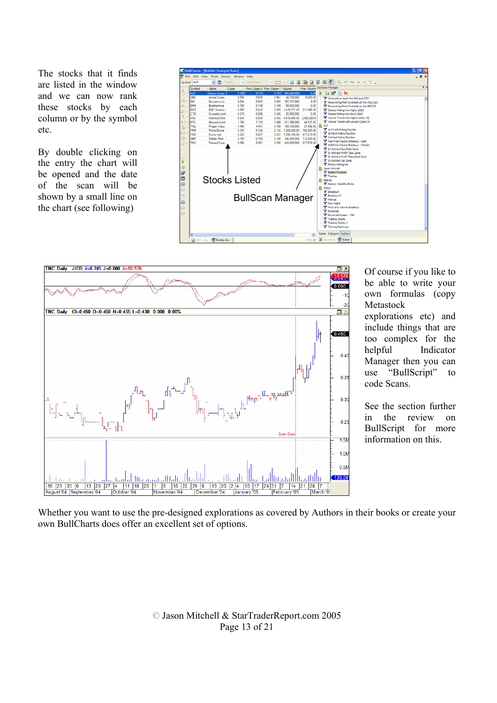The stocks that it finds are listed in the window and we can now rank these stocks by each column or by the symbol etc.

By double clicking on the entry the chart will be opened and the date of the scan will be shown by a small line on the chart (see following)





Of course if you like to be able to write your own formulas (copy Metastock explorations etc) and include things that are too complex for the helpful Indicator Manager then you can use "BullScript" to code Scans.

See the section further in the review on BullScript for more information on this.

Whether you want to use the pre-designed explorations as covered by Authors in their books or create your own BullCharts does offer an excellent set of options.

> © Jason Mitchell & StarTraderReport.com 2005 Page 13 of 21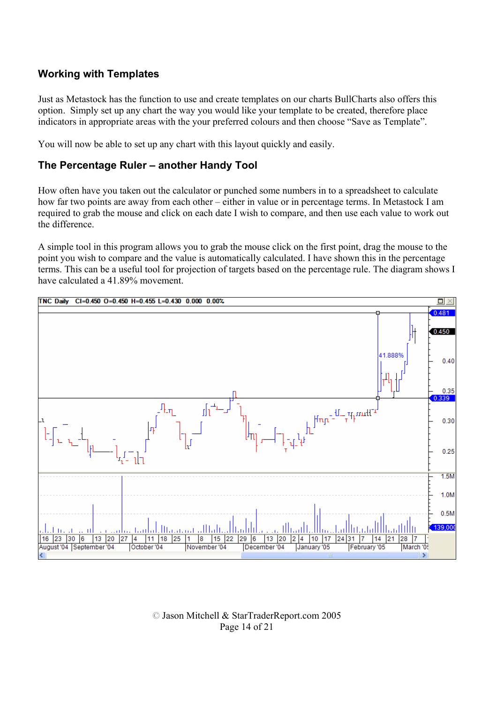# **Working with Templates**

Just as Metastock has the function to use and create templates on our charts BullCharts also offers this option. Simply set up any chart the way you would like your template to be created, therefore place indicators in appropriate areas with the your preferred colours and then choose "Save as Template".

You will now be able to set up any chart with this layout quickly and easily.

#### **The Percentage Ruler – another Handy Tool**

How often have you taken out the calculator or punched some numbers in to a spreadsheet to calculate how far two points are away from each other – either in value or in percentage terms. In Metastock I am required to grab the mouse and click on each date I wish to compare, and then use each value to work out the difference.

A simple tool in this program allows you to grab the mouse click on the first point, drag the mouse to the point you wish to compare and the value is automatically calculated. I have shown this in the percentage terms. This can be a useful tool for projection of targets based on the percentage rule. The diagram shows I have calculated a 41.89% movement.



© Jason Mitchell & StarTraderReport.com 2005 Page 14 of 21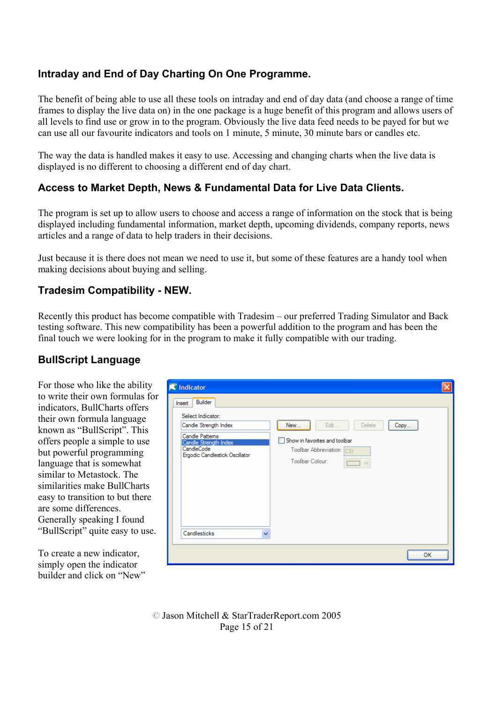# **Intraday and End of Day Charting On One Programme.**

The benefit of being able to use all these tools on intraday and end of day data (and choose a range of time frames to display the live data on) in the one package is a huge benefit of this program and allows users of all levels to find use or grow in to the program. Obviously the live data feed needs to be payed for but we can use all our favourite indicators and tools on 1 minute, 5 minute, 30 minute bars or candles etc.

The way the data is handled makes it easy to use. Accessing and changing charts when the live data is displayed is no different to choosing a different end of day chart.

# **Access to Market Depth, News & Fundamental Data for Live Data Clients.**

The program is set up to allow users to choose and access a range of information on the stock that is being displayed including fundamental information, market depth, upcoming dividends, company reports, news articles and a range of data to help traders in their decisions.

Just because it is there does not mean we need to use it, but some of these features are a handy tool when making decisions about buying and selling.

### **Tradesim Compatibility - NEW.**

Recently this product has become compatible with Tradesim – our preferred Trading Simulator and Back testing software. This new compatibility has been a powerful addition to the program and has been the final touch we were looking for in the program to make it fully compatible with our trading.

#### **BullScript Language**

For those who like the ability to write their own formulas for indicators, BullCharts offers their own formula language known as "BullScript". This offers people a simple to use but powerful programming language that is somewhat similar to Metastock. The similarities make BullCharts easy to transition to but there are some differences. Generally speaking I found "BullScript" quite easy to use.

To create a new indicator, simply open the indicator builder and click on "New"

| <b>K</b> Indicator                                                                                                                                                              |                                                                                                                              |
|---------------------------------------------------------------------------------------------------------------------------------------------------------------------------------|------------------------------------------------------------------------------------------------------------------------------|
| Builder<br>Insert<br>Select Indicator:<br>Candle Strength Index<br>Candle Pattems<br>Candle Strength Index<br>CandleCode<br>Ergodic Candlestick Oscillator<br>Candlesticks<br>v | Edit<br>New<br><b>Delete</b><br>Copy<br>Show in favorites and toolbar<br>Toolbar Abbreviation: CSI<br><b>Toolbar Colour:</b> |
|                                                                                                                                                                                 |                                                                                                                              |
|                                                                                                                                                                                 | OК                                                                                                                           |

© Jason Mitchell & StarTraderReport.com 2005 Page 15 of 21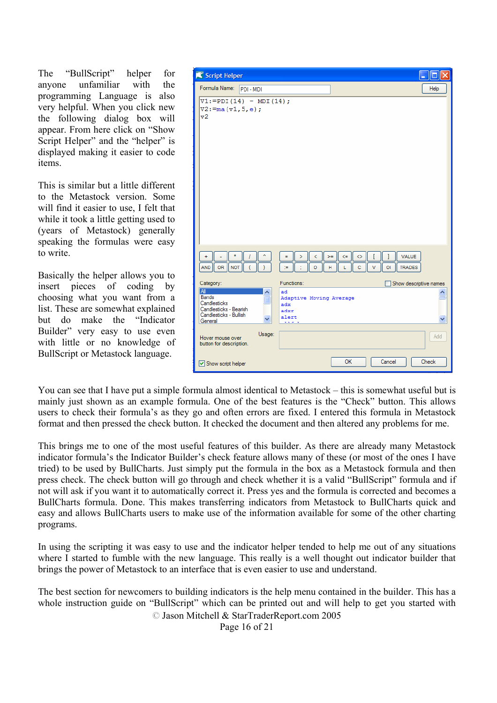The "BullScript" helper for anyone unfamiliar with the programming Language is also very helpful. When you click new the following dialog box will appear. From here click on "Show Script Helper" and the "helper" is displayed making it easier to code items.

This is similar but a little different to the Metastock version. Some will find it easier to use, I felt that while it took a little getting used to (years of Metastock) generally speaking the formulas were easy to write.

Basically the helper allows you to insert pieces of coding by choosing what you want from a list. These are somewhat explained but do make the "Indicator Builder" very easy to use even with little or no knowledge of BullScript or Metastock language.

| Script Helper                                                               | н                                                                                             |
|-----------------------------------------------------------------------------|-----------------------------------------------------------------------------------------------|
| Formula Name:<br>PDI - MDI                                                  | Help                                                                                          |
| $V1:=PDI(14) - MDI(14);$<br>$V2 := ma (v1, 5, e);$<br>v2                    |                                                                                               |
| ÷<br>AND OR<br><b>NOT</b>                                                   | <b>VALUE</b><br>$\Leftarrow$<br>Ξ<br>Þ<br>≺<br>$>=$<br>◇<br>TRADES<br>ö<br>Ĥ<br>ċ<br>ŌI.<br>÷ |
| Category:<br><b>AI</b><br><b>Bands</b><br>Ë                                 | Functions:<br>Show descriptive names<br>ad<br>Adaptive Moving Average                         |
| Candlesticks<br>Candlesticks - Bearish<br>Candlesticks - Bullish<br>General | adx<br>adxr<br>alert<br>.                                                                     |
| Usage:<br>Hover mouse over<br>button for description.                       | Add                                                                                           |
| Show script helper                                                          | ОΚ<br>Cancel<br>Check                                                                         |

You can see that I have put a simple formula almost identical to Metastock – this is somewhat useful but is mainly just shown as an example formula. One of the best features is the "Check" button. This allows users to check their formula's as they go and often errors are fixed. I entered this formula in Metastock format and then pressed the check button. It checked the document and then altered any problems for me.

This brings me to one of the most useful features of this builder. As there are already many Metastock indicator formula's the Indicator Builder's check feature allows many of these (or most of the ones I have tried) to be used by BullCharts. Just simply put the formula in the box as a Metastock formula and then press check. The check button will go through and check whether it is a valid "BullScript" formula and if not will ask if you want it to automatically correct it. Press yes and the formula is corrected and becomes a BullCharts formula. Done. This makes transferring indicators from Metastock to BullCharts quick and easy and allows BullCharts users to make use of the information available for some of the other charting programs.

In using the scripting it was easy to use and the indicator helper tended to help me out of any situations where I started to fumble with the new language. This really is a well thought out indicator builder that brings the power of Metastock to an interface that is even easier to use and understand.

The best section for newcomers to building indicators is the help menu contained in the builder. This has a whole instruction guide on "BullScript" which can be printed out and will help to get you started with

© Jason Mitchell & StarTraderReport.com 2005

Page 16 of 21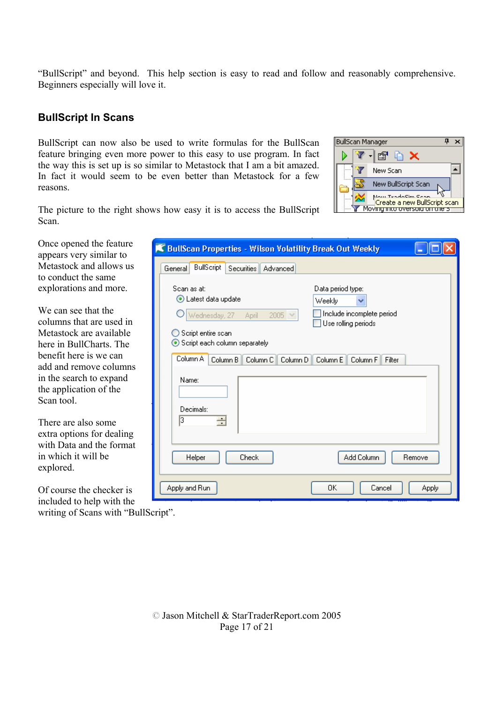"BullScript" and beyond. This help section is easy to read and follow and reasonably comprehensive. Beginners especially will love it.

#### **BullScript In Scans**

BullScript can now also be used to write formulas for the BullScan feature bringing even more power to this easy to use program. In fact the way this is set up is so similar to Metastock that I am a bit amazed. In fact it would seem to be even better than Metastock for a few reasons.



The picture to the right shows how easy it is to access the BullScript Scan.

| Once opened the feature<br>appears very similar to              | <b>K BullScan Properties - Wilson Volatility Break Out Weekly</b> |                                                       |  |  |
|-----------------------------------------------------------------|-------------------------------------------------------------------|-------------------------------------------------------|--|--|
| Metastock and allows us<br>to conduct the same                  | <b>BullScript</b><br>Securities<br>General<br>Advanced            |                                                       |  |  |
| explorations and more.                                          | Scan as at:<br>Latest data update                                 | Data period type:<br>Weekly                           |  |  |
| We can see that the<br>columns that are used in                 | Wednesday, 27<br>2005 $\vee$<br>April                             | v<br>Include incomplete period<br>Use rolling periods |  |  |
| Metastock are available<br>here in BullCharts. The              | Script entire scan<br>Script each column separately               |                                                       |  |  |
| benefit here is we can<br>add and remove columns                | Column A<br>Column B<br>Column C<br>Column D                      | Column E<br>Column <sub>F</sub><br>Filter             |  |  |
| in the search to expand<br>the application of the<br>Scan tool. | Name:                                                             |                                                       |  |  |
| There are also some<br>extra options for dealing                | Decimals:<br>13<br>÷                                              |                                                       |  |  |
| with Data and the format<br>in which it will be<br>explored.    | Check<br>Helper                                                   | Add Column<br>Remove                                  |  |  |
| Of course the checker is<br>included to help with the           | Apply and Run                                                     | OΚ<br>Cancel<br><b>Apply</b>                          |  |  |

included to help with the writing of Scans with "BullScript".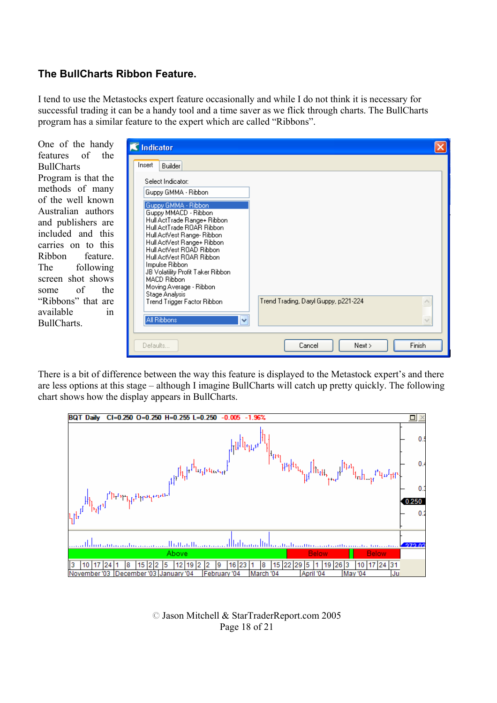#### **The BullCharts Ribbon Feature.**

I tend to use the Metastocks expert feature occasionally and while I do not think it is necessary for successful trading it can be a handy tool and a time saver as we flick through charts. The BullCharts program has a similar feature to the expert which are called "Ribbons".

One of the handy features of the **BullCharts** Program is that the methods of many of the well known Australian authors and publishers are included and this carries on to this Ribbon feature. The following screen shot shows<br>some of the some of the "Ribbons" that are available in BullCharts.

| $\mathbb K$ Indicator                                                                                                                                                                                                                                                                                                                                                                                                                                                                |                                      |
|--------------------------------------------------------------------------------------------------------------------------------------------------------------------------------------------------------------------------------------------------------------------------------------------------------------------------------------------------------------------------------------------------------------------------------------------------------------------------------------|--------------------------------------|
| Insert<br>Builder<br>Select Indicator:<br>Guppy GMMA - Ribbon<br>Guppy GMMA - Ribbon<br>Guppy MMACD - Ribbon<br>Hull ActTrade Range+ Ribbon<br>Hull ActTrade ROAR Ribbon<br>Hull ActVest Range- Ribbon<br>Hull ActVest Range+ Ribbon<br>Hull ActVest ROAD Ribbon<br>Hull ActVest ROAR Ribbon<br>Impulse Ribbon<br>JB Volatility Profit Taker Ribbon<br><b>MACD Ribbon</b><br>Moving Average - Ribbon<br>Stage Analysis<br>Trend Trigger Factor Ribbon<br>All Ribbons<br>$\checkmark$ | Trend Trading, Daryl Guppy, p221-224 |
| Defaults                                                                                                                                                                                                                                                                                                                                                                                                                                                                             | Finish<br>Cancel<br>Next             |

There is a bit of difference between the way this feature is displayed to the Metastock expert's and there are less options at this stage – although I imagine BullCharts will catch up pretty quickly. The following chart shows how the display appears in BullCharts.



© Jason Mitchell & StarTraderReport.com 2005 Page 18 of 21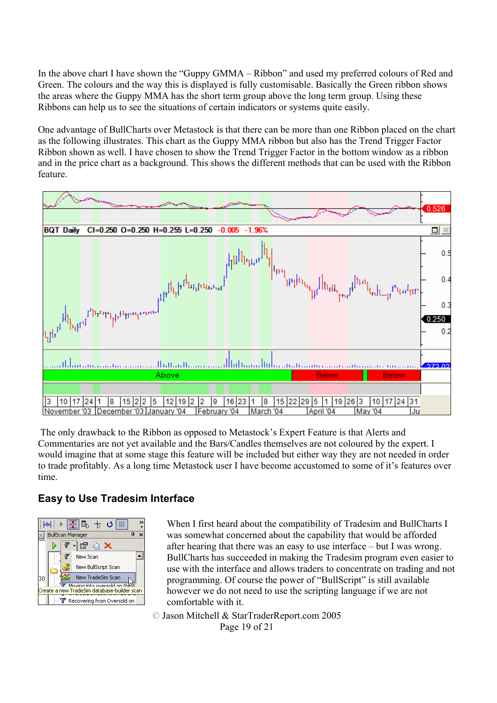In the above chart I have shown the "Guppy GMMA – Ribbon" and used my preferred colours of Red and Green. The colours and the way this is displayed is fully customisable. Basically the Green ribbon shows the areas where the Guppy MMA has the short term group above the long term group. Using these Ribbons can help us to see the situations of certain indicators or systems quite easily.

One advantage of BullCharts over Metastock is that there can be more than one Ribbon placed on the chart as the following illustrates. This chart as the Guppy MMA ribbon but also has the Trend Trigger Factor Ribbon shown as well. I have chosen to show the Trend Trigger Factor in the bottom window as a ribbon and in the price chart as a background. This shows the different methods that can be used with the Ribbon feature.



 The only drawback to the Ribbon as opposed to Metastock's Expert Feature is that Alerts and Commentaries are not yet available and the Bars/Candles themselves are not coloured by the expert. I would imagine that at some stage this feature will be included but either way they are not needed in order to trade profitably. As a long time Metastock user I have become accustomed to some of it's features over time.

#### **Easy to Use Tradesim Interface**



When I first heard about the compatibility of Tradesim and BullCharts I was somewhat concerned about the capability that would be afforded after hearing that there was an easy to use interface – but I was wrong. BullCharts has succeeded in making the Tradesim program even easier to use with the interface and allows traders to concentrate on trading and not programming. Of course the power of "BullScript" is still available however we do not need to use the scripting language if we are not comfortable with it.

© Jason Mitchell & StarTraderReport.com 2005 Page 19 of 21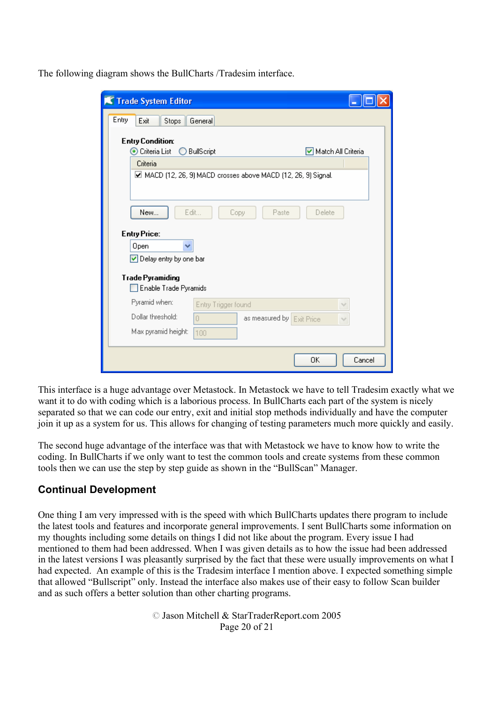The following diagram shows the BullCharts /Tradesim interface.

| <b>K</b> Trade System Editor                                                                                     |                    |  |
|------------------------------------------------------------------------------------------------------------------|--------------------|--|
| Entry<br>Exit<br>Stops<br>General                                                                                |                    |  |
| <b>Entry Condition:</b><br>⊙ Criteria List<br><b>BullScript</b><br>$\left( \begin{array}{c} \end{array} \right)$ | Match All Criteria |  |
| Criteria                                                                                                         |                    |  |
| ☑ MACD (12, 26, 9) MACD crosses above MACD (12, 26, 9) Signal.                                                   |                    |  |
| New<br>Edit<br>Copy<br>Paste                                                                                     | Delete             |  |
| <b>Entry Price:</b>                                                                                              |                    |  |
| Open                                                                                                             |                    |  |
| Delay entry by one bar                                                                                           |                    |  |
| <b>Trade Pyramiding</b><br>Enable Trade Pyramids                                                                 |                    |  |
| Pyramid when:<br>Entry Trigger found                                                                             |                    |  |
| Dollar threshold:<br>$\Box$<br>as measured by Exit Price                                                         |                    |  |
| Max pyramid height:<br>100                                                                                       |                    |  |
|                                                                                                                  | Cancel<br>OΚ       |  |

This interface is a huge advantage over Metastock. In Metastock we have to tell Tradesim exactly what we want it to do with coding which is a laborious process. In BullCharts each part of the system is nicely separated so that we can code our entry, exit and initial stop methods individually and have the computer join it up as a system for us. This allows for changing of testing parameters much more quickly and easily.

The second huge advantage of the interface was that with Metastock we have to know how to write the coding. In BullCharts if we only want to test the common tools and create systems from these common tools then we can use the step by step guide as shown in the "BullScan" Manager.

# **Continual Development**

One thing I am very impressed with is the speed with which BullCharts updates there program to include the latest tools and features and incorporate general improvements. I sent BullCharts some information on my thoughts including some details on things I did not like about the program. Every issue I had mentioned to them had been addressed. When I was given details as to how the issue had been addressed in the latest versions I was pleasantly surprised by the fact that these were usually improvements on what I had expected. An example of this is the Tradesim interface I mention above. I expected something simple that allowed "Bullscript" only. Instead the interface also makes use of their easy to follow Scan builder and as such offers a better solution than other charting programs.

> © Jason Mitchell & StarTraderReport.com 2005 Page 20 of 21